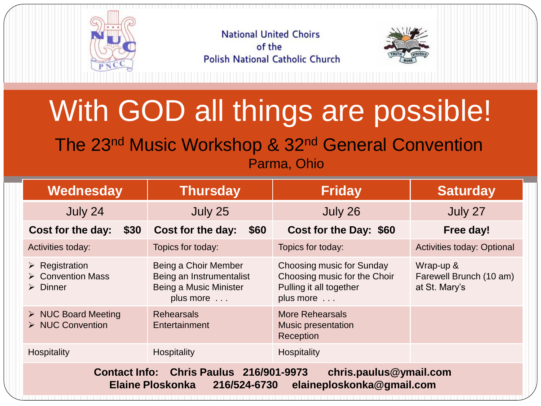

**National United Choirs** of the **Polish National Catholic Church** 



## With GOD all things are possible!

The 23nd Music Workshop & 32nd General Convention Parma, Ohio

| Wednesday                                                                                                                                 | <b>Thursday</b>                                                                                 | <b>Friday</b>                                                                                     | <b>Saturday</b>                                       |
|-------------------------------------------------------------------------------------------------------------------------------------------|-------------------------------------------------------------------------------------------------|---------------------------------------------------------------------------------------------------|-------------------------------------------------------|
| July 24                                                                                                                                   | July 25                                                                                         | July 26                                                                                           | July 27                                               |
| Cost for the day:<br>\$30                                                                                                                 | Cost for the day:<br>\$60                                                                       | Cost for the Day: \$60                                                                            | Free day!                                             |
| Activities today:                                                                                                                         | Topics for today:                                                                               | Topics for today:                                                                                 | <b>Activities today: Optional</b>                     |
| $\triangleright$ Registration<br>$\triangleright$ Convention Mass<br>$\triangleright$ Dinner                                              | Being a Choir Member<br>Being an Instrumentalist<br>Being a Music Minister<br>plus more $\dots$ | Choosing music for Sunday<br>Choosing music for the Choir<br>Pulling it all together<br>plus more | Wrap-up &<br>Farewell Brunch (10 am)<br>at St. Mary's |
| $\triangleright$ NUC Board Meeting<br>$\triangleright$ NUC Convention                                                                     | <b>Rehearsals</b><br>Entertainment                                                              | <b>More Rehearsals</b><br><b>Music presentation</b><br>Reception                                  |                                                       |
| Hospitality                                                                                                                               | Hospitality                                                                                     | <b>Hospitality</b>                                                                                |                                                       |
| Contact Info: Chris Paulus 216/901-9973<br>chris.paulus@ymail.com<br>216/524-6730<br><b>Elaine Ploskonka</b><br>elaineploskonka@gmail.com |                                                                                                 |                                                                                                   |                                                       |